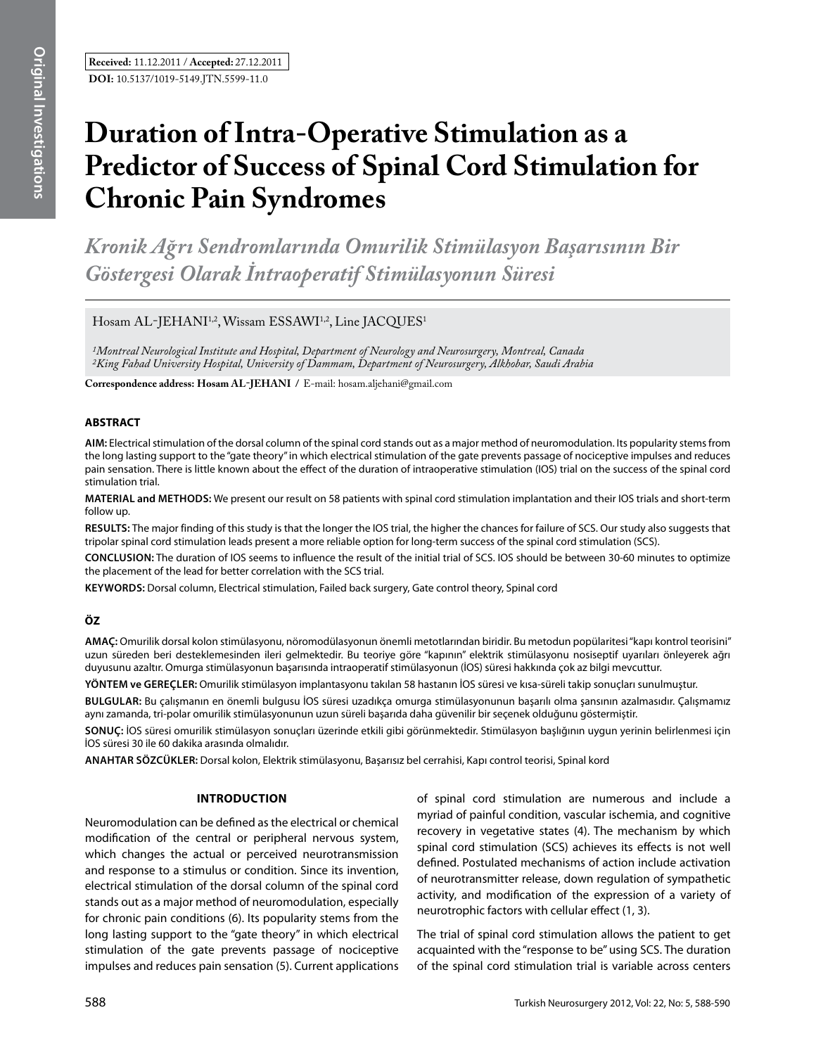# **Duration of Intra-Operative Stimulation as a Predictor of Success of Spinal Cord Stimulation for Chronic Pain Syndromes**

*Kronik Ağrı Sendromlarında Omurilik Stimülasyon Başarısının Bir Göstergesi Olarak İntraoperatif Stimülasyonun Süresi* 

Hosam AL-JEHANI<sup>1,2</sup>, Wissam ESSAWI<sup>1,2</sup>, Line JACQUES<sup>1</sup>

*1Montreal Neurological Institute and Hospital, Department of Neurology and Neurosurgery, Montreal, Canada 2King Fahad University Hospital, University of Dammam, Department of Neurosurgery, Alkhobar, Saudi Arabia*

**Correspondence address: Hosam Al-JehanI /** E-mail: hosam.aljehani@gmail.com

### **ABSTRACT**

**AIm:** Electrical stimulation of the dorsal column of the spinal cord stands out as a major method of neuromodulation. Its popularity stems from the long lasting support to the "gate theory" in which electrical stimulation of the gate prevents passage of nociceptive impulses and reduces pain sensation. There is little known about the effect of the duration of intraoperative stimulation (IOS) trial on the success of the spinal cord stimulation trial.

**MaterIal and Methods:** We present our result on 58 patients with spinal cord stimulation implantation and their IOS trials and short-term follow up.

**Results:** The major finding of this study is that the longer the IOS trial, the higher the chances for failure of SCS. Our study also suggests that tripolar spinal cord stimulation leads present a more reliable option for long-term success of the spinal cord stimulation (SCS).

**ConclusIon:** The duration of IOS seems to influence the result of the initial trial of SCS. IOS should be between 30-60 minutes to optimize the placement of the lead for better correlation with the SCS trial.

**Keywords:** Dorsal column, Electrical stimulation, Failed back surgery, Gate control theory, Spinal cord

## **ÖZ**

**AMAÇ:** Omurilik dorsal kolon stimülasyonu, nöromodülasyonun önemli metotlarından biridir. Bu metodun popülaritesi "kapı kontrol teorisini" uzun süreden beri desteklemesinden ileri gelmektedir. Bu teoriye göre "kapının" elektrik stimülasyonu nosiseptif uyarıları önleyerek ağrı duyusunu azaltır. Omurga stimülasyonun başarısında intraoperatif stimülasyonun (İOS) süresi hakkında çok az bilgi mevcuttur.

**YÖNTEM ve GEREÇLER:** Omurilik stimülasyon implantasyonu takılan 58 hastanın İOS süresi ve kısa-süreli takip sonuçları sunulmuştur.

**BULGULAR:** Bu çalışmanın en önemli bulgusu İOS süresi uzadıkça omurga stimülasyonunun başarılı olma şansının azalmasıdır. Çalışmamız aynı zamanda, tri-polar omurilik stimülasyonunun uzun süreli başarıda daha güvenilir bir seçenek olduğunu göstermiştir.

**SONUÇ:** İOS süresi omurilik stimülasyon sonuçları üzerinde etkili gibi görünmektedir. Stimülasyon başlığının uygun yerinin belirlenmesi için İOS süresi 30 ile 60 dakika arasında olmalıdır.

**ANAHTAR SÖZCÜKLER:** Dorsal kolon, Elektrik stimülasyonu, Başarısız bel cerrahisi, Kapı control teorisi, Spinal kord

#### **Introduction**

Neuromodulation can be defined as the electrical or chemical modification of the central or peripheral nervous system, which changes the actual or perceived neurotransmission and response to a stimulus or condition. Since its invention, electrical stimulation of the dorsal column of the spinal cord stands out as a major method of neuromodulation, especially for chronic pain conditions (6). Its popularity stems from the long lasting support to the "gate theory" in which electrical stimulation of the gate prevents passage of nociceptive impulses and reduces pain sensation (5). Current applications

of spinal cord stimulation are numerous and include a myriad of painful condition, vascular ischemia, and cognitive recovery in vegetative states (4). The mechanism by which spinal cord stimulation (SCS) achieves its effects is not well defined. Postulated mechanisms of action include activation of neurotransmitter release, down regulation of sympathetic activity, and modification of the expression of a variety of neurotrophic factors with cellular effect (1, 3).

The trial of spinal cord stimulation allows the patient to get acquainted with the "response to be" using SCS. The duration of the spinal cord stimulation trial is variable across centers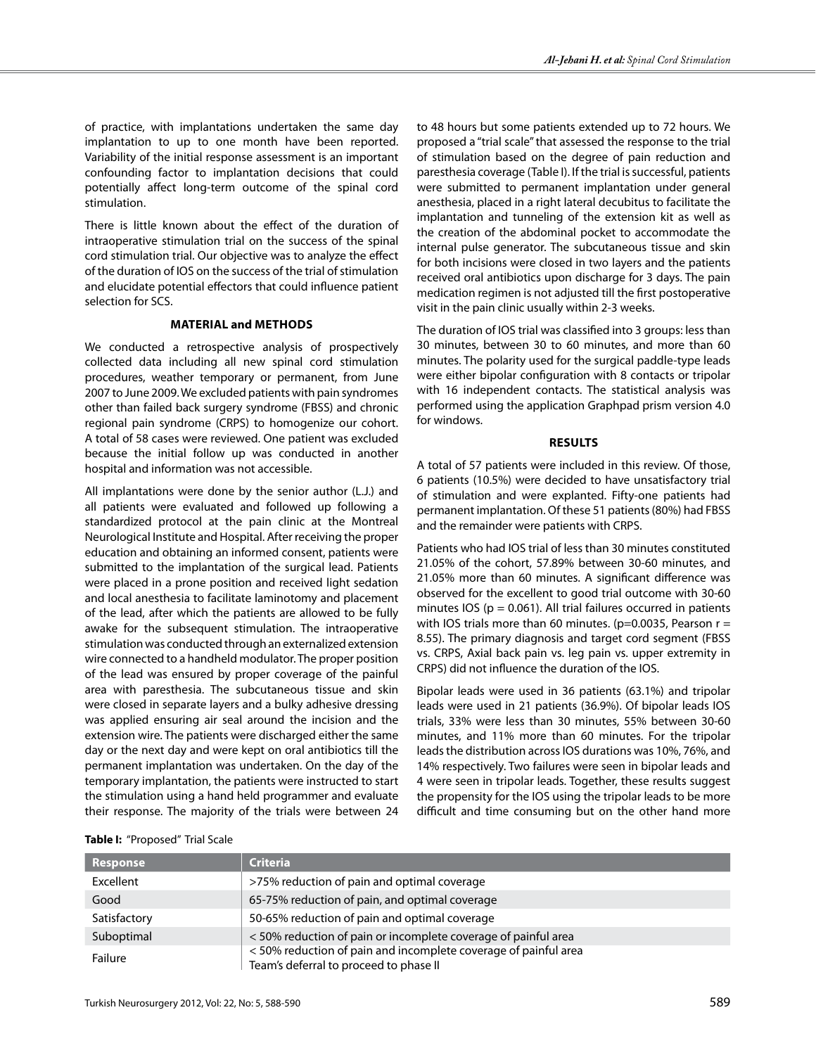of practice, with implantations undertaken the same day implantation to up to one month have been reported. Variability of the initial response assessment is an important confounding factor to implantation decisions that could potentially affect long-term outcome of the spinal cord stimulation.

There is little known about the effect of the duration of intraoperative stimulation trial on the success of the spinal cord stimulation trial. Our objective was to analyze the effect of the duration of IOS on the success of the trial of stimulation and elucidate potential effectors that could influence patient selection for SCS.

#### **materıal and Methods**

We conducted a retrospective analysis of prospectively collected data including all new spinal cord stimulation procedures, weather temporary or permanent, from June 2007 to June 2009. We excluded patients with pain syndromes other than failed back surgery syndrome (FBSS) and chronic regional pain syndrome (CRPS) to homogenize our cohort. A total of 58 cases were reviewed. One patient was excluded because the initial follow up was conducted in another hospital and information was not accessible.

All implantations were done by the senior author (L.J.) and all patients were evaluated and followed up following a standardized protocol at the pain clinic at the Montreal Neurological Institute and Hospital. After receiving the proper education and obtaining an informed consent, patients were submitted to the implantation of the surgical lead. Patients were placed in a prone position and received light sedation and local anesthesia to facilitate laminotomy and placement of the lead, after which the patients are allowed to be fully awake for the subsequent stimulation. The intraoperative stimulation was conducted through an externalized extension wire connected to a handheld modulator. The proper position of the lead was ensured by proper coverage of the painful area with paresthesia. The subcutaneous tissue and skin were closed in separate layers and a bulky adhesive dressing was applied ensuring air seal around the incision and the extension wire. The patients were discharged either the same day or the next day and were kept on oral antibiotics till the permanent implantation was undertaken. On the day of the temporary implantation, the patients were instructed to start the stimulation using a hand held programmer and evaluate their response. The majority of the trials were between 24

to 48 hours but some patients extended up to 72 hours. We proposed a "trial scale" that assessed the response to the trial of stimulation based on the degree of pain reduction and paresthesia coverage (Table I). If the trial is successful, patients were submitted to permanent implantation under general anesthesia, placed in a right lateral decubitus to facilitate the implantation and tunneling of the extension kit as well as the creation of the abdominal pocket to accommodate the internal pulse generator. The subcutaneous tissue and skin for both incisions were closed in two layers and the patients received oral antibiotics upon discharge for 3 days. The pain medication regimen is not adjusted till the first postoperative visit in the pain clinic usually within 2-3 weeks.

The duration of IOS trial was classified into 3 groups: less than 30 minutes, between 30 to 60 minutes, and more than 60 minutes. The polarity used for the surgical paddle-type leads were either bipolar configuration with 8 contacts or tripolar with 16 independent contacts. The statistical analysis was performed using the application Graphpad prism version 4.0 for windows.

#### **Results**

A total of 57 patients were included in this review. Of those, 6 patients (10.5%) were decided to have unsatisfactory trial of stimulation and were explanted. Fifty-one patients had permanent implantation. Of these 51 patients (80%) had FBSS and the remainder were patients with CRPS.

Patients who had IOS trial of less than 30 minutes constituted 21.05% of the cohort, 57.89% between 30-60 minutes, and 21.05% more than 60 minutes. A significant difference was observed for the excellent to good trial outcome with 30-60 minutes IOS ( $p = 0.061$ ). All trial failures occurred in patients with IOS trials more than 60 minutes. ( $p=0.0035$ , Pearson  $r=$ 8.55). The primary diagnosis and target cord segment (FBSS vs. CRPS, Axial back pain vs. leg pain vs. upper extremity in CRPS) did not influence the duration of the IOS.

Bipolar leads were used in 36 patients (63.1%) and tripolar leads were used in 21 patients (36.9%). Of bipolar leads IOS trials, 33% were less than 30 minutes, 55% between 30-60 minutes, and 11% more than 60 minutes. For the tripolar leads the distribution across IOS durations was 10%, 76%, and 14% respectively. Two failures were seen in bipolar leads and 4 were seen in tripolar leads. Together, these results suggest the propensity for the IOS using the tripolar leads to be more difficult and time consuming but on the other hand more

| <b>Criteria</b>                                                                                          |
|----------------------------------------------------------------------------------------------------------|
| >75% reduction of pain and optimal coverage                                                              |
| 65-75% reduction of pain, and optimal coverage                                                           |
| 50-65% reduction of pain and optimal coverage                                                            |
| <50% reduction of pain or incomplete coverage of painful area                                            |
| <50% reduction of pain and incomplete coverage of painful area<br>Team's deferral to proceed to phase II |
|                                                                                                          |

#### **Table I:** "Proposed" Trial Scale